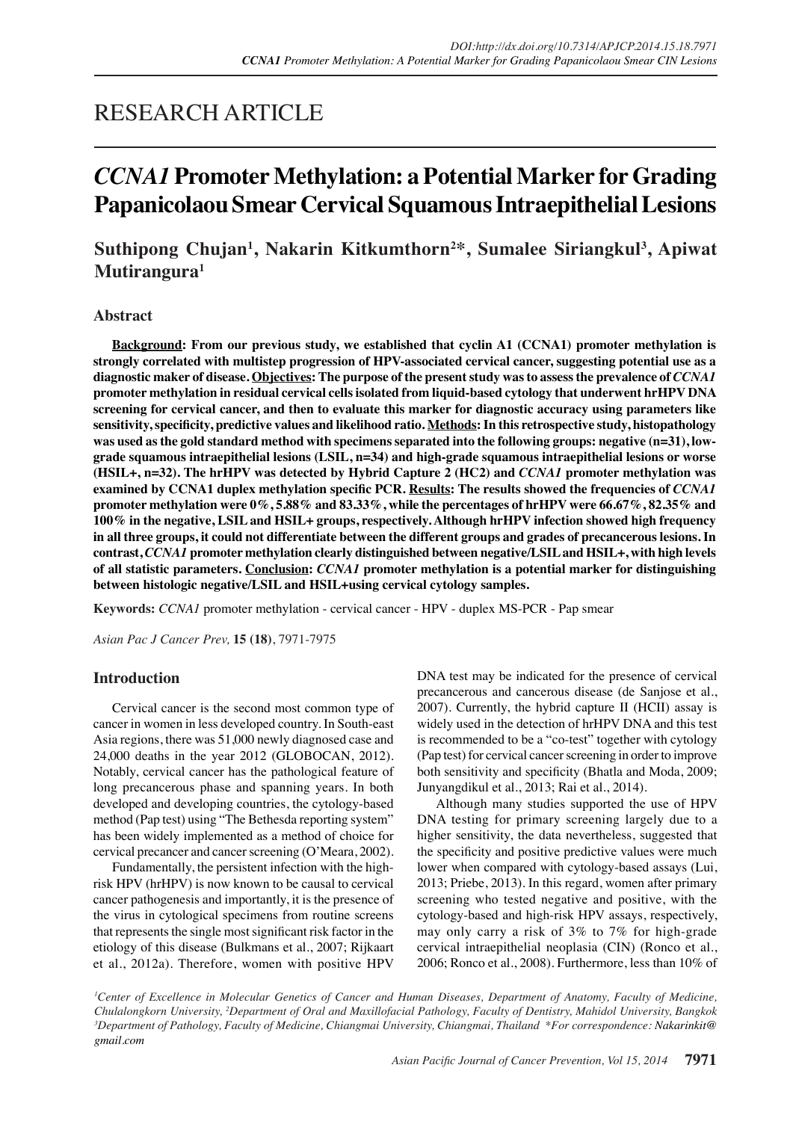## RESEARCH ARTICLE

# *CCNA1* **Promoter Methylation: a Potential Marker for Grading Papanicolaou Smear Cervical Squamous Intraepithelial Lesions**

## **Suthipong Chujan1 , Nakarin Kitkumthorn2 \*, Sumalee Siriangkul3 , Apiwat Mutirangura1**

## **Abstract**

**Background: From our previous study, we established that cyclin A1 (CCNA1) promoter methylation is strongly correlated with multistep progression of HPV-associated cervical cancer, suggesting potential use as a diagnostic maker of disease. Objectives: The purpose of the present study was to assess the prevalence of** *CCNA1* **promoter methylation in residual cervical cells isolated from liquid-based cytology that underwent hrHPV DNA screening for cervical cancer, and then to evaluate this marker for diagnostic accuracy using parameters like sensitivity, specificity, predictive values and likelihood ratio. Methods: In this retrospective study, histopathology was used as the gold standard method with specimens separated into the following groups: negative (n=31), lowgrade squamous intraepithelial lesions (LSIL, n=34) and high-grade squamous intraepithelial lesions or worse (HSIL+, n=32). The hrHPV was detected by Hybrid Capture 2 (HC2) and** *CCNA1* **promoter methylation was examined by CCNA1 duplex methylation specific PCR. Results: The results showed the frequencies of** *CCNA1*  **promoter methylation were 0%, 5.88% and 83.33%, while the percentages of hrHPV were 66.67%, 82.35% and 100% in the negative, LSIL and HSIL+ groups, respectively. Although hrHPV infection showed high frequency in all three groups, it could not differentiate between the different groups and grades of precancerous lesions. In contrast,** *CCNA1* **promoter methylation clearly distinguished between negative/LSIL and HSIL+, with high levels of all statistic parameters. Conclusion:** *CCNA1* **promoter methylation is a potential marker for distinguishing between histologic negative/LSIL and HSIL+using cervical cytology samples.**

**Keywords:** *CCNA1* promoter methylation - cervical cancer - HPV - duplex MS-PCR - Pap smear

*Asian Pac J Cancer Prev,* **15 (18)**, 7971-7975

## **Introduction**

Cervical cancer is the second most common type of cancer in women in less developed country. In South-east Asia regions, there was 51,000 newly diagnosed case and 24,000 deaths in the year 2012 (GLOBOCAN, 2012). Notably, cervical cancer has the pathological feature of long precancerous phase and spanning years. In both developed and developing countries, the cytology-based method (Pap test) using "The Bethesda reporting system" has been widely implemented as a method of choice for cervical precancer and cancer screening (O'Meara, 2002).

Fundamentally, the persistent infection with the highrisk HPV (hrHPV) is now known to be causal to cervical cancer pathogenesis and importantly, it is the presence of the virus in cytological specimens from routine screens that represents the single most significant risk factor in the etiology of this disease (Bulkmans et al., 2007; Rijkaart et al., 2012a). Therefore, women with positive HPV

DNA test may be indicated for the presence of cervical precancerous and cancerous disease (de Sanjose et al., 2007). Currently, the hybrid capture II (HCII) assay is widely used in the detection of hrHPV DNA and this test is recommended to be a "co-test" together with cytology (Pap test) for cervical cancer screening in order to improve both sensitivity and specificity (Bhatla and Moda, 2009; Junyangdikul et al., 2013; Rai et al., 2014).

Although many studies supported the use of HPV DNA testing for primary screening largely due to a higher sensitivity, the data nevertheless, suggested that the specificity and positive predictive values were much lower when compared with cytology-based assays (Lui, 2013; Priebe, 2013). In this regard, women after primary screening who tested negative and positive, with the cytology-based and high-risk HPV assays, respectively, may only carry a risk of 3% to 7% for high-grade cervical intraepithelial neoplasia (CIN) (Ronco et al., 2006; Ronco et al., 2008). Furthermore, less than 10% of

<sup>1</sup>Center of Excellence in Molecular Genetics of Cancer and Human Diseases, Department of Anatomy, Faculty of Medicine, *Chulalongkorn University, 2 Department of Oral and Maxillofacial Pathology, Faculty of Dentistry, Mahidol University, Bangkok 3 Department of Pathology, Faculty of Medicine, Chiangmai University, Chiangmai, Thailand \*For correspondence: Nakarinkit@ gmail.com*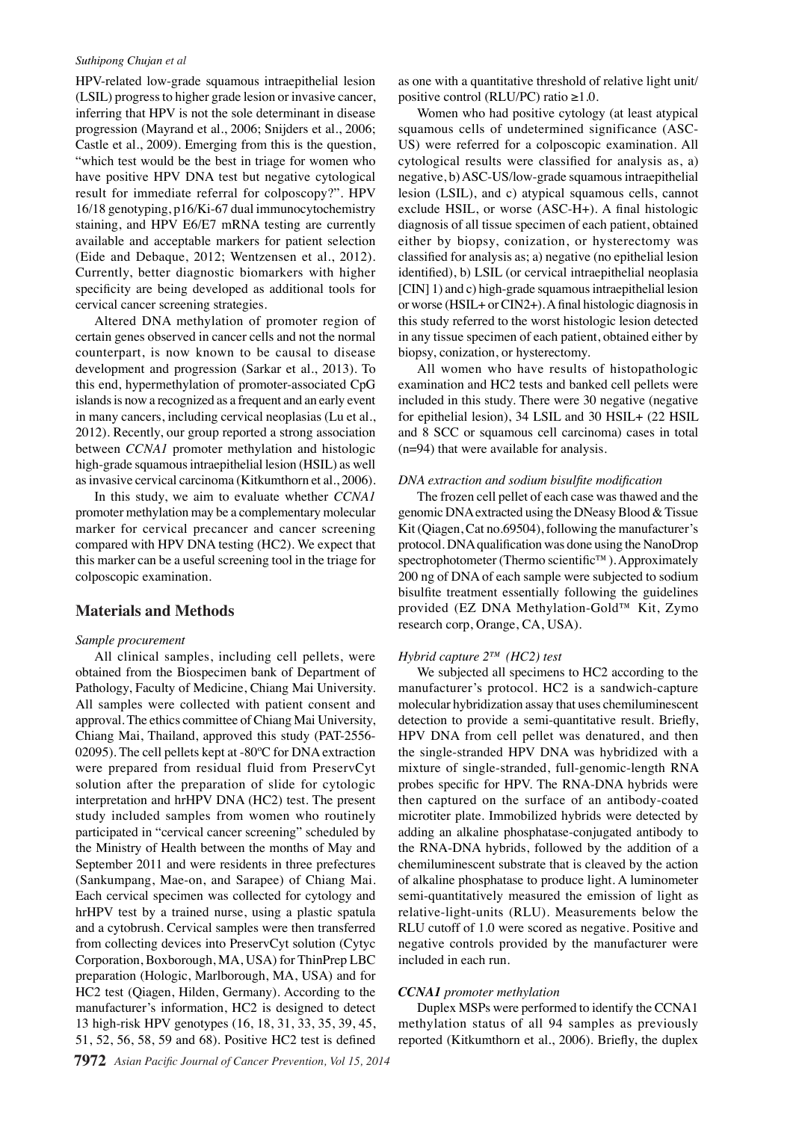#### *Suthipong Chujan et al*

HPV-related low-grade squamous intraepithelial lesion (LSIL) progress to higher grade lesion or invasive cancer, inferring that HPV is not the sole determinant in disease progression (Mayrand et al., 2006; Snijders et al., 2006; Castle et al., 2009). Emerging from this is the question, "which test would be the best in triage for women who have positive HPV DNA test but negative cytological result for immediate referral for colposcopy?". HPV 16/18 genotyping, p16/Ki-67 dual immunocytochemistry staining, and HPV E6/E7 mRNA testing are currently available and acceptable markers for patient selection (Eide and Debaque, 2012; Wentzensen et al., 2012). Currently, better diagnostic biomarkers with higher specificity are being developed as additional tools for cervical cancer screening strategies.

Altered DNA methylation of promoter region of certain genes observed in cancer cells and not the normal counterpart, is now known to be causal to disease development and progression (Sarkar et al., 2013). To this end, hypermethylation of promoter-associated CpG islands is now a recognized as a frequent and an early event in many cancers, including cervical neoplasias (Lu et al., 2012). Recently, our group reported a strong association between *CCNA1* promoter methylation and histologic high-grade squamous intraepithelial lesion (HSIL) as well as invasive cervical carcinoma (Kitkumthorn et al., 2006).

In this study, we aim to evaluate whether *CCNA1*  promoter methylation may be a complementary molecular marker for cervical precancer and cancer screening compared with HPV DNA testing (HC2). We expect that this marker can be a useful screening tool in the triage for colposcopic examination.

## **Materials and Methods**

#### *Sample procurement*

All clinical samples, including cell pellets, were obtained from the Biospecimen bank of Department of Pathology, Faculty of Medicine, Chiang Mai University. All samples were collected with patient consent and approval. The ethics committee of Chiang Mai University, Chiang Mai, Thailand, approved this study (PAT-2556- 02095). The cell pellets kept at -80ºC for DNA extraction were prepared from residual fluid from PreservCyt solution after the preparation of slide for cytologic interpretation and hrHPV DNA (HC2) test. The present study included samples from women who routinely participated in "cervical cancer screening" scheduled by the Ministry of Health between the months of May and September 2011 and were residents in three prefectures (Sankumpang, Mae-on, and Sarapee) of Chiang Mai. Each cervical specimen was collected for cytology and hrHPV test by a trained nurse, using a plastic spatula and a cytobrush. Cervical samples were then transferred from collecting devices into PreservCyt solution (Cytyc Corporation, Boxborough, MA, USA) for ThinPrep LBC preparation (Hologic, Marlborough, MA, USA) and for HC2 test (Qiagen, Hilden, Germany). According to the manufacturer's information, HC2 is designed to detect 13 high-risk HPV genotypes (16, 18, 31, 33, 35, 39, 45, 51, 52, 56, 58, 59 and 68). Positive HC2 test is defined

as one with a quantitative threshold of relative light unit/ positive control (RLU/PC) ratio  $\geq 1.0$ .

Women who had positive cytology (at least atypical squamous cells of undetermined significance (ASC-US) were referred for a colposcopic examination. All cytological results were classified for analysis as, a) negative, b) ASC-US/low-grade squamous intraepithelial lesion (LSIL), and c) atypical squamous cells, cannot exclude HSIL, or worse (ASC-H+). A final histologic diagnosis of all tissue specimen of each patient, obtained either by biopsy, conization, or hysterectomy was classified for analysis as; a) negative (no epithelial lesion identified), b) LSIL (or cervical intraepithelial neoplasia [CIN] 1) and c) high-grade squamous intraepithelial lesion or worse (HSIL+ or CIN2+). A final histologic diagnosis in this study referred to the worst histologic lesion detected in any tissue specimen of each patient, obtained either by biopsy, conization, or hysterectomy.

All women who have results of histopathologic examination and HC2 tests and banked cell pellets were included in this study. There were 30 negative (negative for epithelial lesion), 34 LSIL and 30 HSIL+ (22 HSIL and 8 SCC or squamous cell carcinoma) cases in total (n=94) that were available for analysis.

#### *DNA extraction and sodium bisulfite modification*

The frozen cell pellet of each case was thawed and the genomic DNA extracted using the DNeasy Blood & Tissue Kit (Qiagen, Cat no.69504), following the manufacturer's protocol. DNA qualification was done using the NanoDrop spectrophotometer (Thermo scientific™). Approximately 200 ng of DNA of each sample were subjected to sodium bisulfite treatment essentially following the guidelines provided (EZ DNA Methylation-Gold™ Kit, Zymo research corp, Orange, CA, USA).

### *Hybrid capture 2™ (HC2) test*

We subjected all specimens to HC2 according to the manufacturer's protocol. HC2 is a sandwich-capture molecular hybridization assay that uses chemiluminescent detection to provide a semi-quantitative result. Briefly, HPV DNA from cell pellet was denatured, and then the single-stranded HPV DNA was hybridized with a mixture of single-stranded, full-genomic-length RNA probes specific for HPV. The RNA-DNA hybrids were then captured on the surface of an antibody-coated microtiter plate. Immobilized hybrids were detected by adding an alkaline phosphatase-conjugated antibody to the RNA-DNA hybrids, followed by the addition of a chemiluminescent substrate that is cleaved by the action of alkaline phosphatase to produce light. A luminometer semi-quantitatively measured the emission of light as relative-light-units (RLU). Measurements below the RLU cutoff of 1.0 were scored as negative. Positive and negative controls provided by the manufacturer were included in each run.

#### *CCNA1 promoter methylation*

Duplex MSPs were performed to identify the CCNA1 methylation status of all 94 samples as previously reported (Kitkumthorn et al., 2006). Briefly, the duplex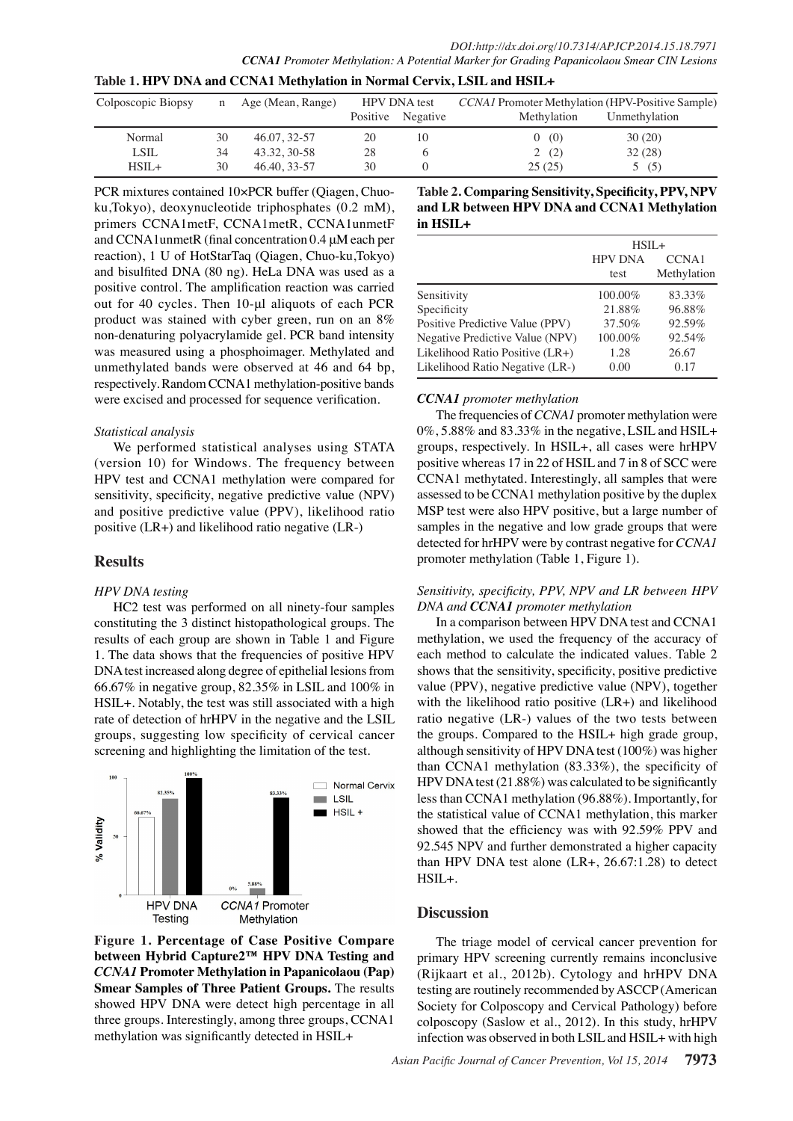| Table 1. HPV DNA and CCNA1 Methylation in Normal Cervix, LSIL and HSIL+ |    |                     |                     |                   |                                                  |               |  |
|-------------------------------------------------------------------------|----|---------------------|---------------------|-------------------|--------------------------------------------------|---------------|--|
| Colposcopic Biopsy                                                      |    | n Age (Mean, Range) | <b>HPV DNA</b> test |                   | CCNA1 Promoter Methylation (HPV-Positive Sample) |               |  |
|                                                                         |    |                     |                     | Positive Negative | Methylation                                      | Unmethylation |  |
| Normal                                                                  | 30 | 46.07, 32-57        | 20                  | 10                | 0(0)                                             | 30(20)        |  |
| <b>LSIL</b>                                                             | 34 | 43.32, 30-58        | 28                  | <sub>0</sub>      | 2(2)                                             | 32(28)        |  |
| $HSIL+$                                                                 | 30 | 46.40, 33-57        | 30                  |                   | 25(25)                                           | 5(5)          |  |

PCR mixtures contained 10×PCR buffer (Qiagen, Chuoku,Tokyo), deoxynucleotide triphosphates (0.2 mM), primers CCNA1metF, CCNA1metR, CCNA1unmetF and CCNA1unmetR (final concentration 0.4 μM each per reaction), 1 U of HotStarTaq (Qiagen, Chuo-ku,Tokyo) and bisulfited DNA (80 ng). HeLa DNA was used as a positive control. The amplification reaction was carried out for 40 cycles. Then 10-μl aliquots of each PCR product was stained with cyber green, run on an 8% non-denaturing polyacrylamide gel. PCR band intensity was measured using a phosphoimager. Methylated and unmethylated bands were observed at 46 and 64 bp, respectively. Random CCNA1 methylation-positive bands were excised and processed for sequence verification.

## *Statistical analysis*

We performed statistical analyses using STATA (version 10) for Windows. The frequency between HPV test and CCNA1 methylation were compared for sensitivity, specificity, negative predictive value (NPV) and positive predictive value (PPV), likelihood ratio positive (LR+) and likelihood ratio negative (LR-)

## **Results**

## *HPV DNA testing*

HC2 test was performed on all ninety-four samples constituting the 3 distinct histopathological groups. The results of each group are shown in Table 1 and Figure 1. The data shows that the frequencies of positive HPV DNA test increased along degree of epithelial lesions from 66.67% in negative group, 82.35% in LSIL and 100% in HSIL+. Notably, the test was still associated with a high rate of detection of hrHPV in the negative and the LSIL groups, suggesting low specificity of cervical cancer screening and highlighting the limitation of the test.



**Figure 1. Percentage of Case Positive Compare between Hybrid Capture2™ HPV DNA Testing and**  *CCNA1* **Promoter Methylation in Papanicolaou (Pap) Smear Samples of Three Patient Groups.** The results showed HPV DNA were detect high percentage in all three groups. Interestingly, among three groups, CCNA1 methylation was significantly detected in HSIL+

**Table 2. Comparing Sensitivity, Specificity, PPV, NPV and LR between HPV DNA and CCNA1 Methylation in HSIL+**

| $HSIL+$        |             |
|----------------|-------------|
| <b>HPV DNA</b> | CCNA1       |
| test           | Methylation |
| 100.00%        | 83.33%      |
| 21.88%         | 96.88%      |
| 37.50%         | 92.59%      |
| 100.00%        | 92.54%      |
| 1.28           | 26.67       |
| 0.00           | 0.17        |
|                |             |

## *CCNA1 promoter methylation*

The frequencies of *CCNA1* promoter methylation were 0%, 5.88% and 83.33% in the negative, LSIL and HSIL+ groups, respectively. In HSIL+, all cases were hrHPV positive whereas 17 in 22 of HSIL and 7 in 8 of SCC were CCNA1 methytated. Interestingly, all samples that were assessed to be CCNA1 methylation positive by the duplex MSP test were also HPV positive, but a large number of samples in the negative and low grade groups that were detected for hrHPV were by contrast negative for *CCNA1* promoter methylation (Table 1, Figure 1).

## *Sensitivity, specificity, PPV, NPV and LR between HPV DNA and CCNA1 promoter methylation*

In a comparison between HPV DNA test and CCNA1 methylation, we used the frequency of the accuracy of each method to calculate the indicated values. Table 2 shows that the sensitivity, specificity, positive predictive value (PPV), negative predictive value (NPV), together with the likelihood ratio positive (LR+) and likelihood ratio negative (LR-) values of the two tests between the groups. Compared to the HSIL+ high grade group, although sensitivity of HPV DNA test (100%) was higher than CCNA1 methylation (83.33%), the specificity of HPV DNA test (21.88%) was calculated to be significantly less than CCNA1 methylation (96.88%). Importantly, for the statistical value of CCNA1 methylation, this marker showed that the efficiency was with 92.59% PPV and 92.545 NPV and further demonstrated a higher capacity than HPV DNA test alone  $(LR+, 26.67:1.28)$  to detect HSIL+.

## **Discussion**

The triage model of cervical cancer prevention for primary HPV screening currently remains inconclusive (Rijkaart et al., 2012b). Cytology and hrHPV DNA testing are routinely recommended by ASCCP (American Society for Colposcopy and Cervical Pathology) before colposcopy (Saslow et al., 2012). In this study, hrHPV infection was observed in both LSIL and HSIL+ with high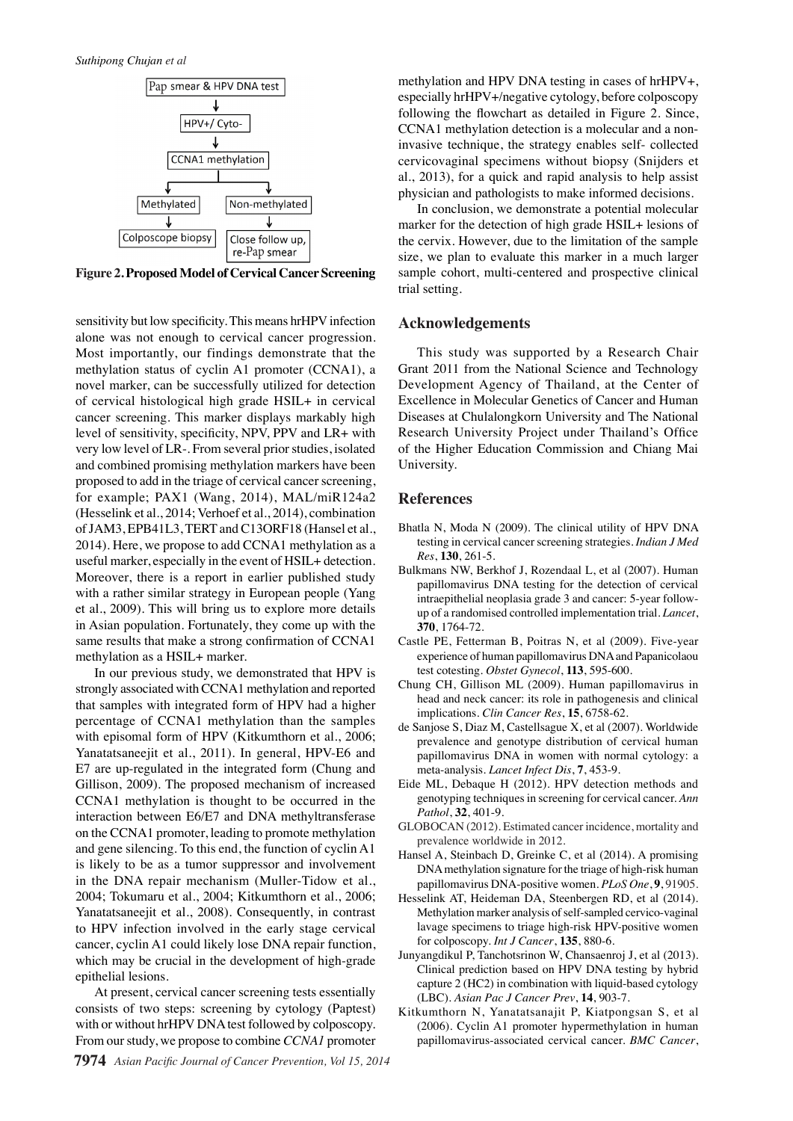

**Figure 2. Proposed Model of Cervical Cancer Screening**

sensitivity but low specificity. This means hrHPV infection alone was not enough to cervical cancer progression. Most importantly, our findings demonstrate that the methylation status of cyclin A1 promoter (CCNA1), a novel marker, can be successfully utilized for detection of cervical histological high grade HSIL+ in cervical cancer screening. This marker displays markably high level of sensitivity, specificity, NPV, PPV and LR+ with very low level of LR-. From several prior studies, isolated and combined promising methylation markers have been proposed to add in the triage of cervical cancer screening, for example; PAX1 (Wang, 2014), MAL/miR124a2 (Hesselink et al., 2014; Verhoef et al., 2014), combination of JAM3, EPB41L3, TERT and C13ORF18 (Hansel et al., 2014). Here, we propose to add CCNA1 methylation as a useful marker, especially in the event of HSIL+ detection. Moreover, there is a report in earlier published study with a rather similar strategy in European people (Yang et al., 2009). This will bring us to explore more details in Asian population. Fortunately, they come up with the same results that make a strong confirmation of CCNA1 methylation as a HSIL+ marker.

In our previous study, we demonstrated that HPV is strongly associated with CCNA1 methylation and reported that samples with integrated form of HPV had a higher percentage of CCNA1 methylation than the samples with episomal form of HPV (Kitkumthorn et al., 2006; Yanatatsaneejit et al., 2011). In general, HPV-E6 and E7 are up-regulated in the integrated form (Chung and Gillison, 2009). The proposed mechanism of increased CCNA1 methylation is thought to be occurred in the interaction between E6/E7 and DNA methyltransferase on the CCNA1 promoter, leading to promote methylation and gene silencing. To this end, the function of cyclin A1 is likely to be as a tumor suppressor and involvement in the DNA repair mechanism (Muller-Tidow et al., 2004; Tokumaru et al., 2004; Kitkumthorn et al., 2006; Yanatatsaneejit et al., 2008). Consequently, in contrast to HPV infection involved in the early stage cervical cancer, cyclin A1 could likely lose DNA repair function, which may be crucial in the development of high-grade epithelial lesions.

At present, cervical cancer screening tests essentially consists of two steps: screening by cytology (Paptest) with or without hrHPV DNA test followed by colposcopy. From our study, we propose to combine *CCNA1* promoter

methylation and HPV DNA testing in cases of hrHPV+, especially hrHPV+/negative cytology, before colposcopy following the flowchart as detailed in Figure 2. Since, CCNA1 methylation detection is a molecular and a noninvasive technique, the strategy enables self- collected cervicovaginal specimens without biopsy (Snijders et al., 2013), for a quick and rapid analysis to help assist physician and pathologists to make informed decisions.

In conclusion, we demonstrate a potential molecular marker for the detection of high grade HSIL+ lesions of the cervix. However, due to the limitation of the sample size, we plan to evaluate this marker in a much larger sample cohort, multi-centered and prospective clinical trial setting.

## **Acknowledgements**

This study was supported by a Research Chair Grant 2011 from the National Science and Technology Development Agency of Thailand, at the Center of Excellence in Molecular Genetics of Cancer and Human Diseases at Chulalongkorn University and The National Research University Project under Thailand's Office of the Higher Education Commission and Chiang Mai University.

#### **References**

- Bhatla N, Moda N (2009). The clinical utility of HPV DNA testing in cervical cancer screening strategies. *Indian J Med Res*, **130**, 261-5.
- Bulkmans NW, Berkhof J, Rozendaal L, et al (2007). Human papillomavirus DNA testing for the detection of cervical intraepithelial neoplasia grade 3 and cancer: 5-year followup of a randomised controlled implementation trial. *Lancet*, **370**, 1764-72.
- Castle PE, Fetterman B, Poitras N, et al (2009). Five-year experience of human papillomavirus DNA and Papanicolaou test cotesting. *Obstet Gynecol*, **113**, 595-600.
- Chung CH, Gillison ML (2009). Human papillomavirus in head and neck cancer: its role in pathogenesis and clinical implications. *Clin Cancer Res*, **15**, 6758-62.
- de Sanjose S, Diaz M, Castellsague X, et al (2007). Worldwide prevalence and genotype distribution of cervical human papillomavirus DNA in women with normal cytology: a meta-analysis. *Lancet Infect Dis*, **7**, 453-9.
- Eide ML, Debaque H (2012). HPV detection methods and genotyping techniques in screening for cervical cancer. *Ann Pathol*, **32**, 401-9.
- GLOBOCAN (2012). Estimated cancer incidence, mortality and prevalence worldwide in 2012.
- Hansel A, Steinbach D, Greinke C, et al (2014). A promising DNA methylation signature for the triage of high-risk human papillomavirus DNA-positive women. *PLoS One*, **9**, 91905.
- Hesselink AT, Heideman DA, Steenbergen RD, et al (2014). Methylation marker analysis of self-sampled cervico-vaginal lavage specimens to triage high-risk HPV-positive women for colposcopy. *Int J Cancer*, **135**, 880-6.
- Junyangdikul P, Tanchotsrinon W, Chansaenroj J, et al (2013). Clinical prediction based on HPV DNA testing by hybrid capture 2 (HC2) in combination with liquid-based cytology (LBC). *Asian Pac J Cancer Prev*, **14**, 903-7.
- Kitkumthorn N, Yanatatsanajit P, Kiatpongsan S, et al (2006). Cyclin A1 promoter hypermethylation in human papillomavirus-associated cervical cancer. *BMC Cancer*,